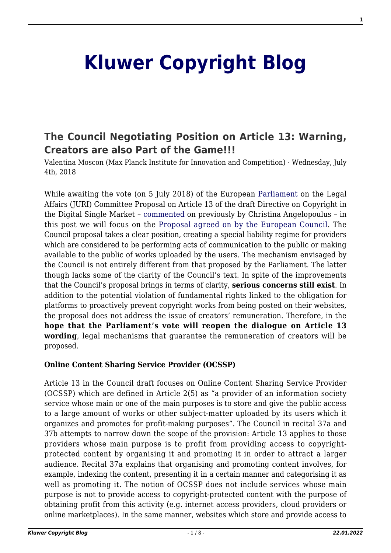# **[Kluwer Copyright Blog](http://copyrightblog.kluweriplaw.com/)**

## **[The Council Negotiating Position on Article 13: Warning,](http://copyrightblog.kluweriplaw.com/2018/07/04/council-negotiating-position-article-13-warning-creators-also-part-game/) [Creators are also Part of the Game!!!](http://copyrightblog.kluweriplaw.com/2018/07/04/council-negotiating-position-article-13-warning-creators-also-part-game/)**

Valentina Moscon (Max Planck Institute for Innovation and Competition) · Wednesday, July 4th, 2018

While awaiting the vote (on 5 July 2018) of the European [Parliament](http://copyrightblog.kluweriplaw.com/2018/06/18/julia-reda-discusses-current-proposal-directive-copyright-digital-single-market/) on the Legal Affairs (JURI) Committee Proposal on Article 13 of the draft Directive on Copyright in the Digital Single Market – [commented](http://copyrightblog.kluweriplaw.com/2018/06/29/axel-vosss-juri-report-article-13-violate-internet-users-fundamental-rights/) on previously by Christina Angelopoulus – in this post we will focus on the [Proposal agreed on by the European Council](https://www.consilium.europa.eu/media/35373/st09134-en18.pdf). The Council proposal takes a clear position, creating a special liability regime for providers which are considered to be performing acts of communication to the public or making available to the public of works uploaded by the users. The mechanism envisaged by the Council is not entirely different from that proposed by the Parliament. The latter though lacks some of the clarity of the Council's text. In spite of the improvements that the Council's proposal brings in terms of clarity, **serious concerns still exist**. In addition to the potential violation of fundamental rights linked to the obligation for platforms to proactively prevent copyright works from being posted on their websites, the proposal does not address the issue of creators' remuneration. Therefore, in the **hope that the Parliament's vote will reopen the dialogue on Article 13 wording**, legal mechanisms that guarantee the remuneration of creators will be proposed.

#### **Online Content Sharing Service Provider (OCSSP)**

Article 13 in the Council draft focuses on Online Content Sharing Service Provider (OCSSP) which are defined in Article 2(5) as "a provider of an information society service whose main or one of the main purposes is to store and give the public access to a large amount of works or other subject-matter uploaded by its users which it organizes and promotes for profit-making purposes". The Council in recital 37a and 37b attempts to narrow down the scope of the provision: Article 13 applies to those providers whose main purpose is to profit from providing access to copyrightprotected content by organising it and promoting it in order to attract a larger audience. Recital 37a explains that organising and promoting content involves, for example, indexing the content, presenting it in a certain manner and categorising it as well as promoting it. The notion of OCSSP does not include services whose main purpose is not to provide access to copyright-protected content with the purpose of obtaining profit from this activity (e.g. internet access providers, cloud providers or online marketplaces). In the same manner, websites which store and provide access to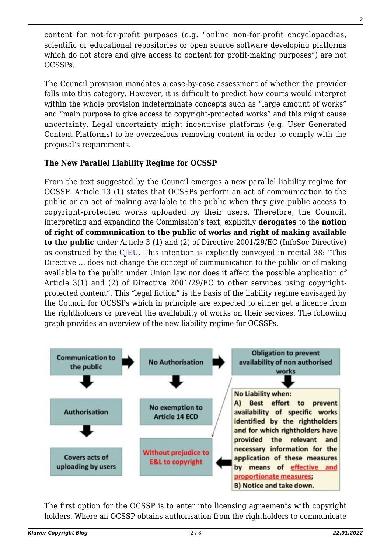content for not-for-profit purposes (e.g. "online non-for-profit encyclopaedias, scientific or educational repositories or open source software developing platforms which do not store and give access to content for profit-making purposes") are not OCSSPs.

The Council provision mandates a case-by-case assessment of whether the provider falls into this category. However, it is difficult to predict how courts would interpret within the whole provision indeterminate concepts such as "large amount of works" and "main purpose to give access to copyright-protected works" and this might cause uncertainty. Legal uncertainty might incentivise platforms (e.g. User Generated Content Platforms) to be overzealous removing content in order to comply with the proposal's requirements.

### **The New Parallel Liability Regime for OCSSP**

From the text suggested by the Council emerges a new parallel liability regime for OCSSP. Article 13 (1) states that OCSSPs perform an act of communication to the public or an act of making available to the public when they give public access to copyright-protected works uploaded by their users. Therefore, the Council, interpreting and expanding the Commission's text, explicitly **derogates** to the **notion of right of communication to the public of works and right of making available to the public** under Article 3 (1) and (2) of Directive 2001/29/EC (InfoSoc Directive) as construed by the [CJEU](https://papers.ssrn.com/sol3/papers.cfm?abstract_id=2943040). This intention is explicitly conveyed in recital 38: "This Directive … does not change the concept of communication to the public or of making available to the public under Union law nor does it affect the possible application of Article 3(1) and (2) of Directive 2001/29/EC to other services using copyrightprotected content". This "legal fiction" is the basis of the liability regime envisaged by the Council for OCSSPs which in principle are expected to either get a licence from the rightholders or prevent the availability of works on their services. The following graph provides an overview of the new liability regime for OCSSPs.



The first option for the OCSSP is to enter into licensing agreements with copyright holders. Where an OCSSP obtains authorisation from the rightholders to communicate

**2**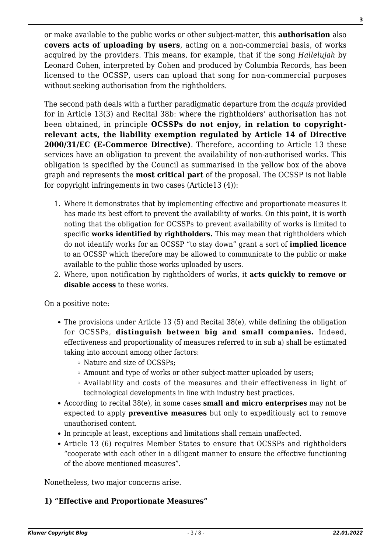or make available to the public works or other subject-matter, this **authorisation** also **covers acts of uploading by users**, acting on a non-commercial basis, of works acquired by the providers. This means, for example, that if the song *Hallelujah* by Leonard Cohen, interpreted by Cohen and produced by Columbia Records, has been licensed to the OCSSP, users can upload that song for non-commercial purposes without seeking authorisation from the rightholders.

The second path deals with a further paradigmatic departure from the *acquis* provided for in Article 13(3) and Recital 38b: where the rightholders' authorisation has not been obtained, in principle **OCSSPs do not enjoy, in relation to copyrightrelevant acts, the liability exemption regulated by Article 14 of Directive 2000/31/EC (E-Commerce Directive)**. Therefore, according to Article 13 these services have an obligation to prevent the availability of non-authorised works. This obligation is specified by the Council as summarised in the yellow box of the above graph and represents the **most critical part** of the proposal. The OCSSP is not liable for copyright infringements in two cases (Article13 (4)):

- 1. Where it demonstrates that by implementing effective and proportionate measures it has made its best effort to prevent the availability of works. On this point, it is worth noting that the obligation for OCSSPs to prevent availability of works is limited to specific **works identified by rightholders.** This may mean that rightholders which do not identify works for an OCSSP "to stay down" grant a sort of **implied licence** to an OCSSP which therefore may be allowed to communicate to the public or make available to the public those works uploaded by users.
- 2. Where, upon notification by rightholders of works, it **acts quickly to remove or disable access** to these works.

On a positive note:

- The provisions under Article 13 (5) and Recital 38(e), while defining the obligation for OCSSPs, **distinguish between big and small companies.** Indeed, effectiveness and proportionality of measures referred to in sub a) shall be estimated taking into account among other factors:
	- Nature and size of OCSSPs;
	- Amount and type of works or other subject-matter uploaded by users;
	- Availability and costs of the measures and their effectiveness in light of technological developments in line with industry best practices.
- According to recital 38(e), in some cases **small and micro enterprises** may not be expected to apply **preventive measures** but only to expeditiously act to remove unauthorised content.
- In principle at least, exceptions and limitations shall remain unaffected.
- Article 13 (6) requires Member States to ensure that OCSSPs and rightholders "cooperate with each other in a diligent manner to ensure the effective functioning of the above mentioned measures".

Nonetheless, two major concerns arise.

#### **1) "Effective and Proportionate Measures"**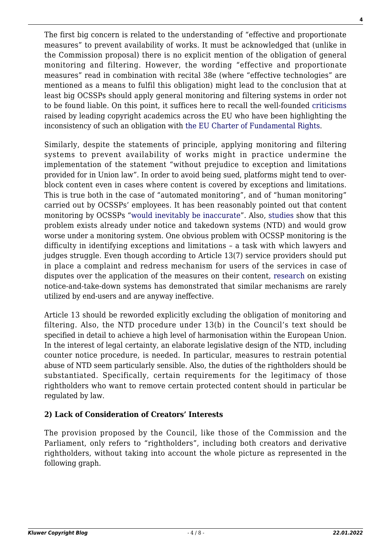The first big concern is related to the understanding of "effective and proportionate measures" to prevent availability of works. It must be acknowledged that (unlike in the Commission proposal) there is no explicit mention of the obligation of general monitoring and filtering. However, the wording "effective and proportionate measures" read in combination with recital 38e (where "effective technologies" are mentioned as a means to fulfil this obligation) might lead to the conclusion that at least big OCSSPs should apply general monitoring and filtering systems in order not to be found liable. On this point, it suffices here to recall the well-founded [criticisms](https://www.create.ac.uk/policy-responses/eu-copyright-reform/) raised by leading copyright academics across the EU who have been highlighting the inconsistency of such an obligation wit[h the EU Charter of Fundamental Rights](https://papers.ssrn.com/sol3/papers.cfm?abstract_id=3054967).

Similarly, despite the statements of principle, applying monitoring and filtering systems to prevent availability of works might in practice undermine the implementation of the statement "without prejudice to exception and limitations provided for in Union law". In order to avoid being sued, platforms might tend to overblock content even in cases where content is covered by exceptions and limitations. This is true both in the case of "automated monitoring", and of "human monitoring" carried out by OCSSPs' employees. It has been reasonably pointed out that content monitoring by OCSSPs "[would inevitably be inaccurate](http://cyberlaw.stanford.edu/blog/2017/10/problems-filters-european-commissions-platforms-proposal)". Also, [studies](http://copyrightblog.kluweriplaw.com/2018/06/12/much-know-notice-takedown-new-study-tracks-youtube-removals/) show that this problem exists already under notice and takedown systems (NTD) and would grow worse under a monitoring system. One obvious problem with OCSSP monitoring is the difficulty in identifying exceptions and limitations – a task with which lawyers and judges struggle. Even though according to Article 13(7) service providers should put in place a complaint and redress mechanism for users of the services in case of disputes over the application of the measures on their content, [research](https://papers.ssrn.com/sol3/papers.cfm?abstract_id=2755628) on existing notice-and-take-down systems has demonstrated that similar mechanisms are rarely utilized by end-users and are anyway ineffective.

Article 13 should be reworded explicitly excluding the obligation of monitoring and filtering. Also, the NTD procedure under 13(b) in the Council's text should be specified in detail to achieve a high level of harmonisation within the European Union. In the interest of legal certainty, an elaborate legislative design of the NTD, including counter notice procedure, is needed. In particular, measures to restrain potential abuse of NTD seem particularly sensible. Also, the duties of the rightholders should be substantiated. Specifically, certain requirements for the legitimacy of those rightholders who want to remove certain protected content should in particular be regulated by law.

#### **2) Lack of Consideration of Creators' Interests**

The provision proposed by the Council, like those of the Commission and the Parliament, only refers to "rightholders", including both creators and derivative rightholders, without taking into account the whole picture as represented in the following graph.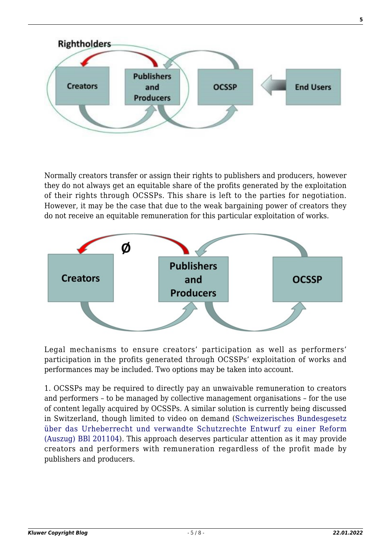

Normally creators transfer or assign their rights to publishers and producers, however they do not always get an equitable share of the profits generated by the exploitation of their rights through OCSSPs. This share is left to the parties for negotiation. However, it may be the case that due to the weak bargaining power of creators they do not receive an equitable remuneration for this particular exploitation of works.



Legal mechanisms to ensure creators' participation as well as performers' participation in the profits generated through OCSSPs' exploitation of works and performances may be included. Two options may be taken into account.

1. OCSSPs may be required to directly pay an unwaivable remuneration to creators and performers – to be managed by collective management organisations – for the use of content legally acquired by OCSSPs. A similar solution is currently being discussed in Switzerland, though limited to video on demand ([Schweizerisches Bundesgesetz](https://www.ejpd.admin.ch/dam/data/ejpd/aktuell/news/2017/2017-11-22/entw-d.pdf) [über das Urheberrecht und verwandte Schutzrechte Entwurf zu einer Reform](https://www.ejpd.admin.ch/dam/data/ejpd/aktuell/news/2017/2017-11-22/entw-d.pdf) [\(Auszug\) BBl 201104\)](https://www.ejpd.admin.ch/dam/data/ejpd/aktuell/news/2017/2017-11-22/entw-d.pdf). This approach deserves particular attention as it may provide creators and performers with remuneration regardless of the profit made by publishers and producers.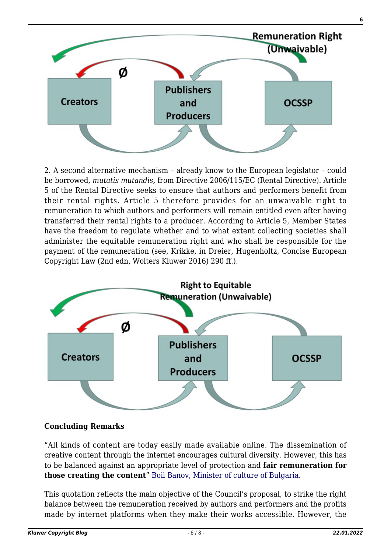

2. A second alternative mechanism – already know to the European legislator – could be borrowed, *mutatis mutandis,* from Directive 2006/115/EC (Rental Directive). Article 5 of the Rental Directive seeks to ensure that authors and performers benefit from their rental rights. Article 5 therefore provides for an unwaivable right to remuneration to which authors and performers will remain entitled even after having transferred their rental rights to a producer. According to Article 5, Member States have the freedom to regulate whether and to what extent collecting societies shall administer the equitable remuneration right and who shall be responsible for the payment of the remuneration (see, Krikke, in Dreier, Hugenholtz, Concise European Copyright Law (2nd edn, Wolters Kluwer 2016) 290 ff.).



#### **Concluding Remarks**

"All kinds of content are today easily made available online. The dissemination of creative content through the internet encourages cultural diversity. However, this has to be balanced against an appropriate level of protection and **fair remuneration for those creating the content**" [Boil Banov, Minister of culture of Bulgaria.](http://www.consilium.europa.eu/de/press/press-releases/2018/05/25/copyright-rules-for-the-digital-environment-council-agrees-its-position/)

This quotation reflects the main objective of the Council's proposal, to strike the right balance between the remuneration received by authors and performers and the profits made by internet platforms when they make their works accessible. However, the

**6**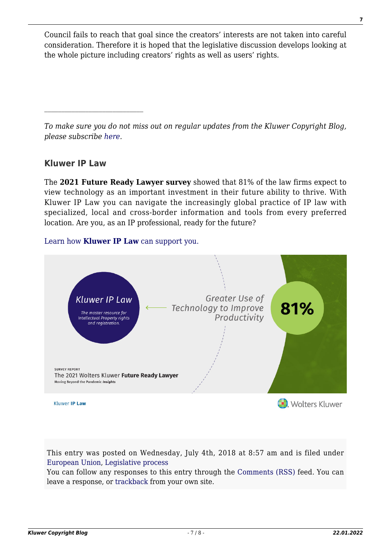Council fails to reach that goal since the creators' interests are not taken into careful consideration. Therefore it is hoped that the legislative discussion develops looking at the whole picture including creators' rights as well as users' rights.

*To make sure you do not miss out on regular updates from the Kluwer Copyright Blog, please subscribe [here.](http://copyrightblog.kluweriplaw.com/newsletter)*

### **Kluwer IP Law**

The **2021 Future Ready Lawyer survey** showed that 81% of the law firms expect to view technology as an important investment in their future ability to thrive. With Kluwer IP Law you can navigate the increasingly global practice of IP law with specialized, local and cross-border information and tools from every preferred location. Are you, as an IP professional, ready for the future?

#### [Learn how](https://www.wolterskluwer.com/en/solutions/kluweriplaw?utm_source=copyrightnblog&utm_medium=articleCTA&utm_campaign=article-banner) **[Kluwer IP Law](https://www.wolterskluwer.com/en/solutions/kluweriplaw?utm_source=copyrightnblog&utm_medium=articleCTA&utm_campaign=article-banner)** [can support you.](https://www.wolterskluwer.com/en/solutions/kluweriplaw?utm_source=copyrightnblog&utm_medium=articleCTA&utm_campaign=article-banner)



This entry was posted on Wednesday, July 4th, 2018 at 8:57 am and is filed under [European Union,](http://copyrightblog.kluweriplaw.com/category/jurisdiction-2/european-union/) [Legislative process](http://copyrightblog.kluweriplaw.com/category/legislative-process/)

You can follow any responses to this entry through the [Comments \(RSS\)](http://copyrightblog.kluweriplaw.com/comments/feed/) feed. You can leave a response, or [trackback](http://copyrightblog.kluweriplaw.com/2018/07/04/council-negotiating-position-article-13-warning-creators-also-part-game/trackback/) from your own site.